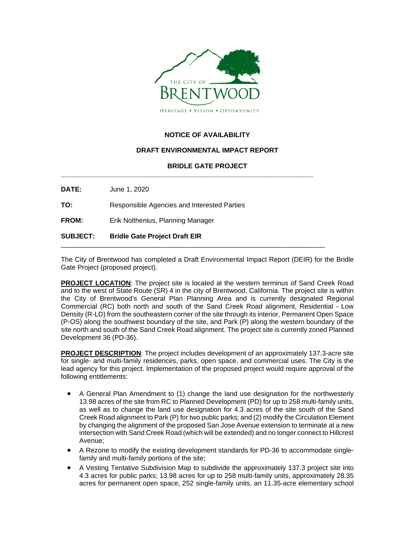

## **NOTICE OF AVAILABILITY**

## **DRAFT ENVIRONMENTAL IMPACT REPORT**

## **BRIDLE GATE PROJECT**

**\_\_\_\_\_\_\_\_\_\_\_\_\_\_\_\_\_\_\_\_\_\_\_\_\_\_\_\_\_\_\_\_\_\_\_\_\_\_\_\_\_\_\_\_\_\_\_\_\_\_\_\_\_\_\_\_\_\_\_\_\_\_\_\_\_\_\_**

**DATE:** June 1, 2020

**TO:** Responsible Agencies and Interested Parties

**FROM:** Erik Nolthenius, Planning Manager

**SUBJECT: Bridle Gate Project Draft EIR**

The City of Brentwood has completed a Draft Environmental Impact Report (DEIR) for the Bridle Gate Project (proposed project).

\_\_\_\_\_\_\_\_\_\_\_\_\_\_\_\_\_\_\_\_\_\_\_\_\_\_\_\_\_\_\_\_\_\_\_\_\_\_\_\_\_\_\_\_\_\_\_\_\_\_\_\_\_\_\_\_\_\_\_\_\_\_\_\_\_\_\_\_\_\_

**PROJECT LOCATION**: The project site is located at the western terminus of Sand Creek Road and to the west of State Route (SR) 4 in the city of Brentwood, California. The project site is within the City of Brentwood's General Plan Planning Area and is currently designated Regional Commercial (RC) both north and south of the Sand Creek Road alignment, Residential - Low Density (R-LD) from the southeastern corner of the site through its interior, Permanent Open Space (P-OS) along the southwest boundary of the site, and Park (P) along the western boundary of the site north and south of the Sand Creek Road alignment. The project site is currently zoned Planned Development 36 (PD-36).

**PROJECT DESCRIPTION**: The project includes development of an approximately 137.3-acre site for single- and multi-family residences, parks, open space, and commercial uses. The City is the lead agency for this project. Implementation of the proposed project would require approval of the following entitlements:

- A General Plan Amendment to (1) change the land use designation for the northwesterly 13.98 acres of the site from RC to Planned Development (PD) for up to 258 multi-family units, as well as to change the land use designation for 4.3 acres of the site south of the Sand Creek Road alignment to Park (P) for two public parks; and (2) modify the Circulation Element by changing the alignment of the proposed San Jose Avenue extension to terminate at a new intersection with Sand Creek Road (which will be extended) and no longer connect to Hillcrest Avenue;
- A Rezone to modify the existing development standards for PD-36 to accommodate singlefamily and multi-family portions of the site;
- A Vesting Tentative Subdivision Map to subdivide the approximately 137.3 project site into 4.3 acres for public parks; 13.98 acres for up to 258 multi-family units, approximately 28.35 acres for permanent open space, 252 single-family units, an 11.35-acre elementary school